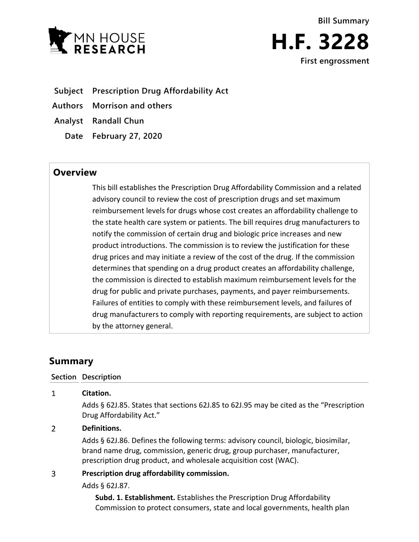



- **Subject Prescription Drug Affordability Act**
- **Authors Morrison and others**
- **Analyst Randall Chun**
	- **Date February 27, 2020**

# **Overview**

This bill establishes the Prescription Drug Affordability Commission and a related advisory council to review the cost of prescription drugs and set maximum reimbursement levels for drugs whose cost creates an affordability challenge to the state health care system or patients. The bill requires drug manufacturers to notify the commission of certain drug and biologic price increases and new product introductions. The commission is to review the justification for these drug prices and may initiate a review of the cost of the drug. If the commission determines that spending on a drug product creates an affordability challenge, the commission is directed to establish maximum reimbursement levels for the drug for public and private purchases, payments, and payer reimbursements. Failures of entities to comply with these reimbursement levels, and failures of drug manufacturers to comply with reporting requirements, are subject to action by the attorney general.

# **Summary**

 $\mathbf{1}$ 

### **Section Description**

# **Citation.** Adds § 62J.85. States that sections 62J.85 to 62J.95 may be cited as the "Prescription Drug Affordability Act."

#### $\overline{2}$ **Definitions.**

Adds § 62J.86. Defines the following terms: advisory council, biologic, biosimilar, brand name drug, commission, generic drug, group purchaser, manufacturer, prescription drug product, and wholesale acquisition cost (WAC).

### 3 **Prescription drug affordability commission.**

Adds § 62J.87.

**Subd. 1. Establishment.** Establishes the Prescription Drug Affordability Commission to protect consumers, state and local governments, health plan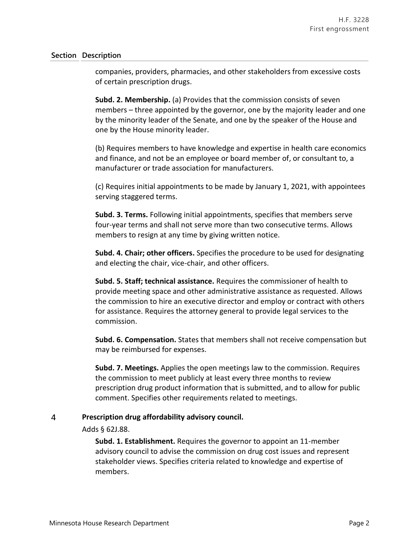companies, providers, pharmacies, and other stakeholders from excessive costs of certain prescription drugs.

**Subd. 2. Membership.** (a) Provides that the commission consists of seven members – three appointed by the governor, one by the majority leader and one by the minority leader of the Senate, and one by the speaker of the House and one by the House minority leader.

(b) Requires members to have knowledge and expertise in health care economics and finance, and not be an employee or board member of, or consultant to, a manufacturer or trade association for manufacturers.

(c) Requires initial appointments to be made by January 1, 2021, with appointees serving staggered terms.

**Subd. 3. Terms.** Following initial appointments, specifies that members serve four-year terms and shall not serve more than two consecutive terms. Allows members to resign at any time by giving written notice.

**Subd. 4. Chair; other officers.** Specifies the procedure to be used for designating and electing the chair, vice-chair, and other officers.

**Subd. 5. Staff; technical assistance.** Requires the commissioner of health to provide meeting space and other administrative assistance as requested. Allows the commission to hire an executive director and employ or contract with others for assistance. Requires the attorney general to provide legal services to the commission.

**Subd. 6. Compensation.** States that members shall not receive compensation but may be reimbursed for expenses.

**Subd. 7. Meetings.** Applies the open meetings law to the commission. Requires the commission to meet publicly at least every three months to review prescription drug product information that is submitted, and to allow for public comment. Specifies other requirements related to meetings.

#### $\overline{4}$ **Prescription drug affordability advisory council.**

Adds § 62J.88.

**Subd. 1. Establishment.** Requires the governor to appoint an 11-member advisory council to advise the commission on drug cost issues and represent stakeholder views. Specifies criteria related to knowledge and expertise of members.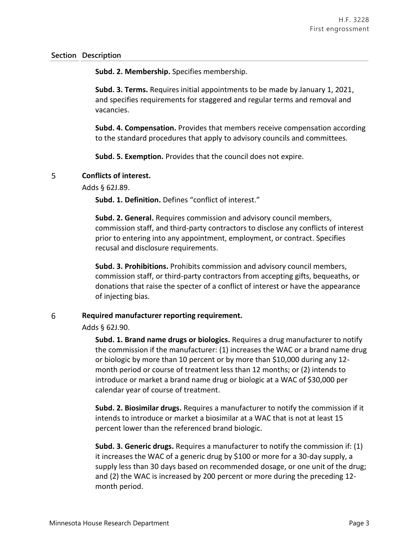**Subd. 2. Membership.** Specifies membership.

**Subd. 3. Terms.** Requires initial appointments to be made by January 1, 2021, and specifies requirements for staggered and regular terms and removal and vacancies.

**Subd. 4. Compensation.** Provides that members receive compensation according to the standard procedures that apply to advisory councils and committees.

**Subd. 5. Exemption.** Provides that the council does not expire.

#### 5 **Conflicts of interest.**

### Adds § 62J.89.

**Subd. 1. Definition.** Defines "conflict of interest."

**Subd. 2. General.** Requires commission and advisory council members, commission staff, and third-party contractors to disclose any conflicts of interest prior to entering into any appointment, employment, or contract. Specifies recusal and disclosure requirements.

**Subd. 3. Prohibitions.** Prohibits commission and advisory council members, commission staff, or third-party contractors from accepting gifts, bequeaths, or donations that raise the specter of a conflict of interest or have the appearance of injecting bias.

### 6 **Required manufacturer reporting requirement.**

Adds § 62J.90.

**Subd. 1. Brand name drugs or biologics.** Requires a drug manufacturer to notify the commission if the manufacturer: (1) increases the WAC or a brand name drug or biologic by more than 10 percent or by more than \$10,000 during any 12 month period or course of treatment less than 12 months; or (2) intends to introduce or market a brand name drug or biologic at a WAC of \$30,000 per calendar year of course of treatment.

**Subd. 2. Biosimilar drugs.** Requires a manufacturer to notify the commission if it intends to introduce or market a biosimilar at a WAC that is not at least 15 percent lower than the referenced brand biologic.

**Subd. 3. Generic drugs.** Requires a manufacturer to notify the commission if: (1) it increases the WAC of a generic drug by \$100 or more for a 30-day supply, a supply less than 30 days based on recommended dosage, or one unit of the drug; and (2) the WAC is increased by 200 percent or more during the preceding 12 month period.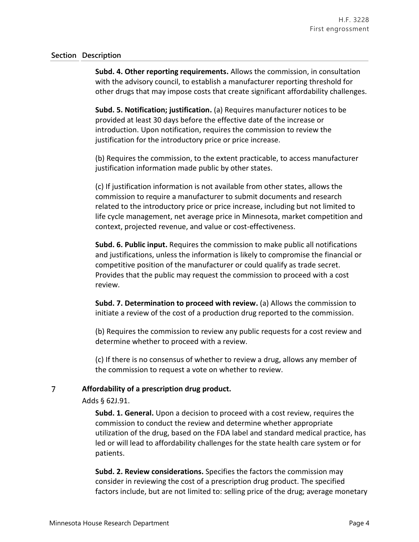**Subd. 4. Other reporting requirements.** Allows the commission, in consultation with the advisory council, to establish a manufacturer reporting threshold for other drugs that may impose costs that create significant affordability challenges.

**Subd. 5. Notification; justification.** (a) Requires manufacturer notices to be provided at least 30 days before the effective date of the increase or introduction. Upon notification, requires the commission to review the justification for the introductory price or price increase.

(b) Requires the commission, to the extent practicable, to access manufacturer justification information made public by other states.

(c) If justification information is not available from other states, allows the commission to require a manufacturer to submit documents and research related to the introductory price or price increase, including but not limited to life cycle management, net average price in Minnesota, market competition and context, projected revenue, and value or cost-effectiveness.

**Subd. 6. Public input.** Requires the commission to make public all notifications and justifications, unless the information is likely to compromise the financial or competitive position of the manufacturer or could qualify as trade secret. Provides that the public may request the commission to proceed with a cost review.

**Subd. 7. Determination to proceed with review.** (a) Allows the commission to initiate a review of the cost of a production drug reported to the commission.

(b) Requires the commission to review any public requests for a cost review and determine whether to proceed with a review.

(c) If there is no consensus of whether to review a drug, allows any member of the commission to request a vote on whether to review.

#### $\overline{7}$ **Affordability of a prescription drug product.**

Adds § 62J.91.

**Subd. 1. General.** Upon a decision to proceed with a cost review, requires the commission to conduct the review and determine whether appropriate utilization of the drug, based on the FDA label and standard medical practice, has led or will lead to affordability challenges for the state health care system or for patients.

**Subd. 2. Review considerations.** Specifies the factors the commission may consider in reviewing the cost of a prescription drug product. The specified factors include, but are not limited to: selling price of the drug; average monetary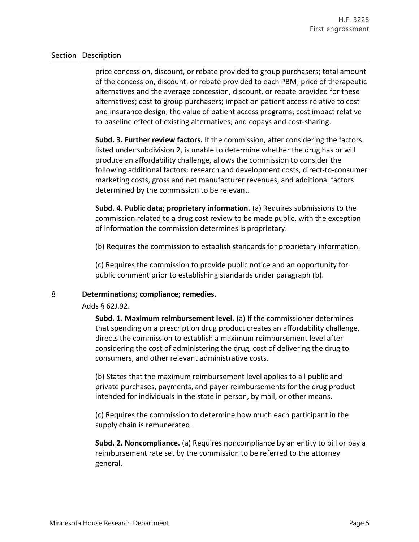price concession, discount, or rebate provided to group purchasers; total amount of the concession, discount, or rebate provided to each PBM; price of therapeutic alternatives and the average concession, discount, or rebate provided for these alternatives; cost to group purchasers; impact on patient access relative to cost and insurance design; the value of patient access programs; cost impact relative to baseline effect of existing alternatives; and copays and cost-sharing.

**Subd. 3. Further review factors.** If the commission, after considering the factors listed under subdivision 2, is unable to determine whether the drug has or will produce an affordability challenge, allows the commission to consider the following additional factors: research and development costs, direct-to-consumer marketing costs, gross and net manufacturer revenues, and additional factors determined by the commission to be relevant.

**Subd. 4. Public data; proprietary information.** (a) Requires submissions to the commission related to a drug cost review to be made public, with the exception of information the commission determines is proprietary.

(b) Requires the commission to establish standards for proprietary information.

(c) Requires the commission to provide public notice and an opportunity for public comment prior to establishing standards under paragraph (b).

#### 8 **Determinations; compliance; remedies.**

Adds § 62J.92.

**Subd. 1. Maximum reimbursement level.** (a) If the commissioner determines that spending on a prescription drug product creates an affordability challenge, directs the commission to establish a maximum reimbursement level after considering the cost of administering the drug, cost of delivering the drug to consumers, and other relevant administrative costs.

(b) States that the maximum reimbursement level applies to all public and private purchases, payments, and payer reimbursements for the drug product intended for individuals in the state in person, by mail, or other means.

(c) Requires the commission to determine how much each participant in the supply chain is remunerated.

**Subd. 2. Noncompliance.** (a) Requires noncompliance by an entity to bill or pay a reimbursement rate set by the commission to be referred to the attorney general.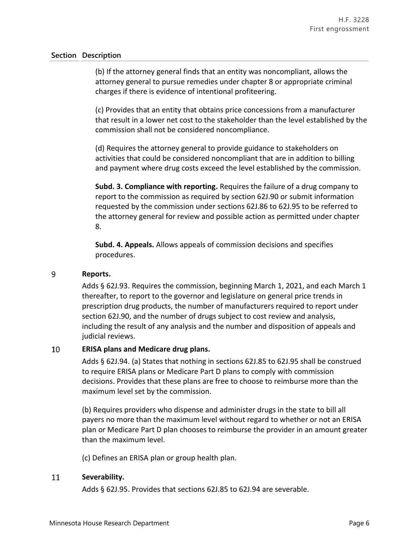(b) If the attorney general finds that an entity was noncompliant, allows the attorney general to pursue remedies under chapter 8 or appropriate criminal charges if there is evidence of intentional profiteering.

(c) Provides that an entity that obtains price concessions from a manufacturer that result in a lower net cost to the stakeholder than the level established by the commission shall not be considered noncompliance.

(d) Requires the attorney general to provide guidance to stakeholders on activities that could be considered noncompliant that are in addition to billing and payment where drug costs exceed the level established by the commission.

**Subd. 3. Compliance with reporting.** Requires the failure of a drug company to report to the commission as required by section 62J.90 or submit information requested by the commission under sections 62J.86 to 62J.95 to be referred to the attorney general for review and possible action as permitted under chapter 8.

**Subd. 4. Appeals.** Allows appeals of commission decisions and specifies procedures.

#### 9 **Reports.**

Adds § 62J.93. Requires the commission, beginning March 1, 2021, and each March 1 thereafter, to report to the governor and legislature on general price trends in prescription drug products, the number of manufacturers required to report under section 62J.90, and the number of drugs subject to cost review and analysis, including the result of any analysis and the number and disposition of appeals and judicial reviews.

### 10 **ERISA plans and Medicare drug plans.**

Adds § 62J.94. (a) States that nothing in sections 62J.85 to 62J.95 shall be construed to require ERISA plans or Medicare Part D plans to comply with commission decisions. Provides that these plans are free to choose to reimburse more than the maximum level set by the commission.

(b) Requires providers who dispense and administer drugs in the state to bill all payers no more than the maximum level without regard to whether or not an ERISA plan or Medicare Part D plan chooses to reimburse the provider in an amount greater than the maximum level.

(c) Defines an ERISA plan or group health plan.

### 11 **Severability.**

Adds § 62J.95. Provides that sections 62J.85 to 62J.94 are severable.